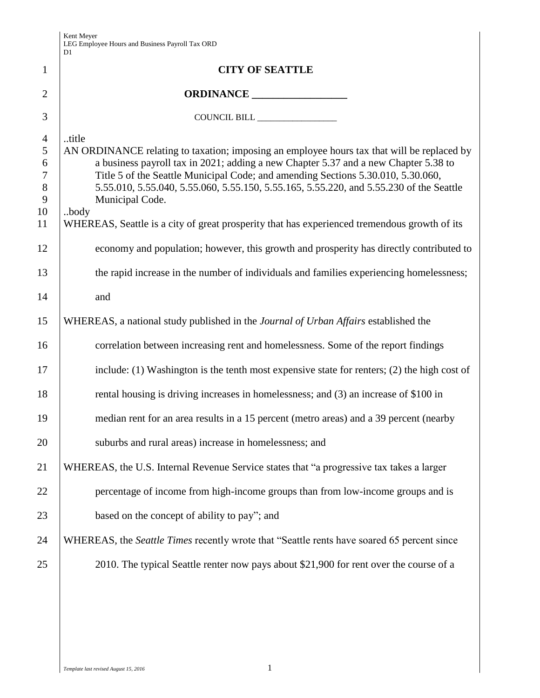|                  | D1                                                                                                         |
|------------------|------------------------------------------------------------------------------------------------------------|
| $\mathbf{1}$     | <b>CITY OF SEATTLE</b>                                                                                     |
| $\overline{2}$   |                                                                                                            |
| 3                | COUNCIL BILL                                                                                               |
| $\overline{4}$   | title                                                                                                      |
| 5                | AN ORDINANCE relating to taxation; imposing an employee hours tax that will be replaced by                 |
| 6                | a business payroll tax in 2021; adding a new Chapter 5.37 and a new Chapter 5.38 to                        |
| $\boldsymbol{7}$ | Title 5 of the Seattle Municipal Code; and amending Sections 5.30.010, 5.30.060,                           |
| $\,8\,$<br>9     | 5.55.010, 5.55.040, 5.55.060, 5.55.150, 5.55.165, 5.55.220, and 5.55.230 of the Seattle<br>Municipal Code. |
| 10               | body                                                                                                       |
| 11               | WHEREAS, Seattle is a city of great prosperity that has experienced tremendous growth of its               |
| 12               | economy and population; however, this growth and prosperity has directly contributed to                    |
| 13               | the rapid increase in the number of individuals and families experiencing homelessness;                    |
| 14               | and                                                                                                        |
| 15               | WHEREAS, a national study published in the Journal of Urban Affairs established the                        |
| 16               | correlation between increasing rent and homelessness. Some of the report findings                          |
| 17               | include: $(1)$ Washington is the tenth most expensive state for renters; $(2)$ the high cost of            |
| 18               | rental housing is driving increases in homelessness; and (3) an increase of \$100 in                       |
| 19               | median rent for an area results in a 15 percent (metro areas) and a 39 percent (nearby                     |
| 20               | suburbs and rural areas) increase in homelessness; and                                                     |
| 21               | WHEREAS, the U.S. Internal Revenue Service states that "a progressive tax takes a larger                   |
| 22               | percentage of income from high-income groups than from low-income groups and is                            |
| 23               | based on the concept of ability to pay"; and                                                               |
| 24               | WHEREAS, the Seattle Times recently wrote that "Seattle rents have soared 65 percent since                 |
| 25               | 2010. The typical Seattle renter now pays about \$21,900 for rent over the course of a                     |
|                  |                                                                                                            |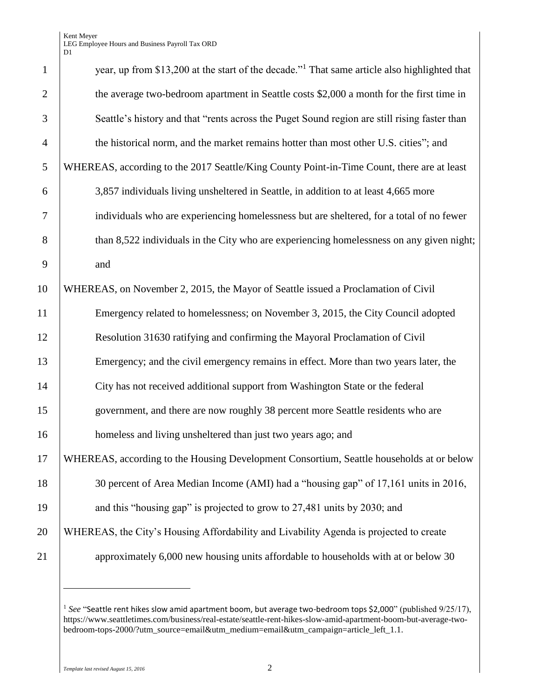Kent Meyer LEG Employee Hours and Business Payroll Tax ORD D1

| $\mathbf{1}$   | year, up from \$13,200 at the start of the decade." <sup>1</sup> That same article also highlighted that |
|----------------|----------------------------------------------------------------------------------------------------------|
| $\overline{2}$ | the average two-bedroom apartment in Seattle costs \$2,000 a month for the first time in                 |
| 3              | Seattle's history and that "rents across the Puget Sound region are still rising faster than             |
| $\overline{4}$ | the historical norm, and the market remains hotter than most other U.S. cities"; and                     |
| 5              | WHEREAS, according to the 2017 Seattle/King County Point-in-Time Count, there are at least               |
| 6              | 3,857 individuals living unsheltered in Seattle, in addition to at least 4,665 more                      |
| $\tau$         | individuals who are experiencing homelessness but are sheltered, for a total of no fewer                 |
| 8              | than 8,522 individuals in the City who are experiencing homelessness on any given night;                 |
| 9              | and                                                                                                      |
| 10             | WHEREAS, on November 2, 2015, the Mayor of Seattle issued a Proclamation of Civil                        |
| 11             | Emergency related to homelessness; on November 3, 2015, the City Council adopted                         |
| 12             | Resolution 31630 ratifying and confirming the Mayoral Proclamation of Civil                              |
| 13             | Emergency; and the civil emergency remains in effect. More than two years later, the                     |
| 14             | City has not received additional support from Washington State or the federal                            |
| 15             | government, and there are now roughly 38 percent more Seattle residents who are                          |
| 16             | homeless and living unsheltered than just two years ago; and                                             |
| 17             | WHEREAS, according to the Housing Development Consortium, Seattle households at or below                 |
| 18             | 30 percent of Area Median Income (AMI) had a "housing gap" of 17,161 units in 2016,                      |
| 19             | and this "housing gap" is projected to grow to 27,481 units by 2030; and                                 |
| 20             | WHEREAS, the City's Housing Affordability and Livability Agenda is projected to create                   |
| 21             | approximately 6,000 new housing units affordable to households with at or below 30                       |
|                |                                                                                                          |

<sup>&</sup>lt;sup>1</sup> See "Seattle rent hikes slow amid apartment boom, but average two-bedroom tops \$2,000" (published 9/25/17), https://www.seattletimes.com/business/real-estate/seattle-rent-hikes-slow-amid-apartment-boom-but-average-twobedroom-tops-2000/?utm\_source=email&utm\_medium=email&utm\_campaign=article\_left\_1.1.

 $\overline{a}$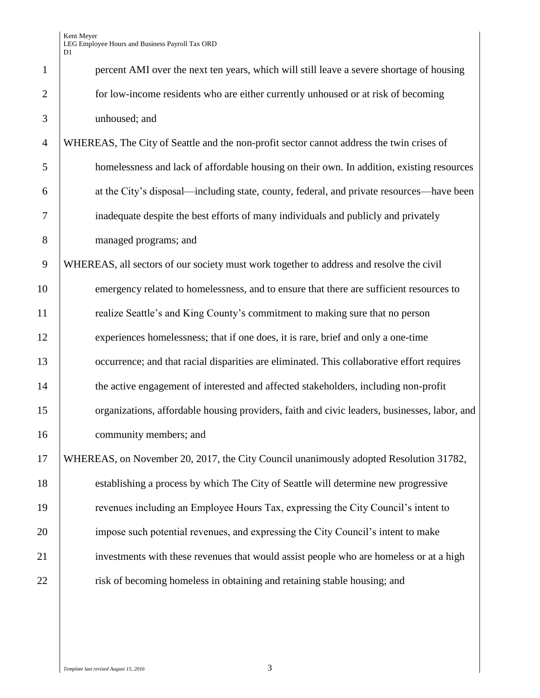| $\mathbf{1}$   | percent AMI over the next ten years, which will still leave a severe shortage of housing     |
|----------------|----------------------------------------------------------------------------------------------|
| $\overline{2}$ | for low-income residents who are either currently unhoused or at risk of becoming            |
| 3              | unhoused; and                                                                                |
| $\overline{4}$ | WHEREAS, The City of Seattle and the non-profit sector cannot address the twin crises of     |
| 5              | homelessness and lack of affordable housing on their own. In addition, existing resources    |
| 6              | at the City's disposal—including state, county, federal, and private resources—have been     |
| 7              | inadequate despite the best efforts of many individuals and publicly and privately           |
| 8              | managed programs; and                                                                        |
| 9              | WHEREAS, all sectors of our society must work together to address and resolve the civil      |
| 10             | emergency related to homelessness, and to ensure that there are sufficient resources to      |
| 11             | realize Seattle's and King County's commitment to making sure that no person                 |
| 12             | experiences homelessness; that if one does, it is rare, brief and only a one-time            |
| 13             | occurrence; and that racial disparities are eliminated. This collaborative effort requires   |
| 14             | the active engagement of interested and affected stakeholders, including non-profit          |
| 15             | organizations, affordable housing providers, faith and civic leaders, businesses, labor, and |
| 16             | community members; and                                                                       |
| 17             | WHEREAS, on November 20, 2017, the City Council unanimously adopted Resolution 31782,        |
| 18             | establishing a process by which The City of Seattle will determine new progressive           |
| 19             | revenues including an Employee Hours Tax, expressing the City Council's intent to            |
| 20             | impose such potential revenues, and expressing the City Council's intent to make             |
| 21             | investments with these revenues that would assist people who are homeless or at a high       |
| 22             | risk of becoming homeless in obtaining and retaining stable housing; and                     |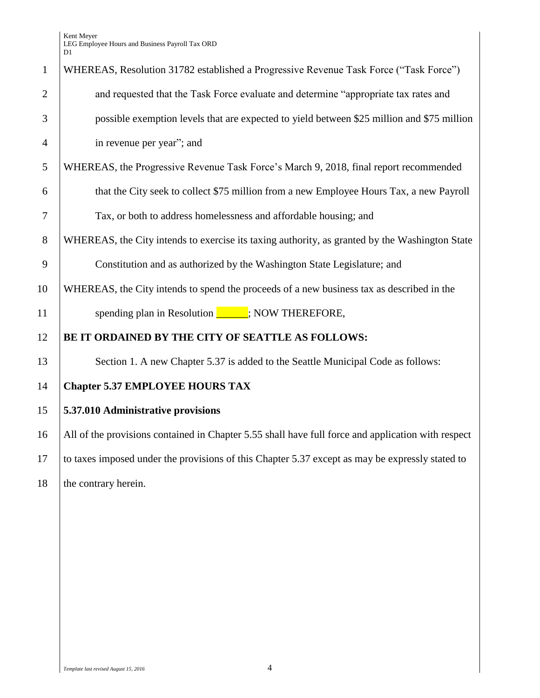Kent Meyer LEG Employee Hours and Business Payroll Tax ORD D1

| $\mathbf{1}$   | WHEREAS, Resolution 31782 established a Progressive Revenue Task Force ("Task Force")              |  |
|----------------|----------------------------------------------------------------------------------------------------|--|
| $\overline{2}$ | and requested that the Task Force evaluate and determine "appropriate tax rates and                |  |
| 3              | possible exemption levels that are expected to yield between \$25 million and \$75 million         |  |
| $\overline{4}$ | in revenue per year"; and                                                                          |  |
| 5              | WHEREAS, the Progressive Revenue Task Force's March 9, 2018, final report recommended              |  |
| 6              | that the City seek to collect \$75 million from a new Employee Hours Tax, a new Payroll            |  |
| $\overline{7}$ | Tax, or both to address homelessness and affordable housing; and                                   |  |
| 8              | WHEREAS, the City intends to exercise its taxing authority, as granted by the Washington State     |  |
| 9              | Constitution and as authorized by the Washington State Legislature; and                            |  |
| 10             | WHEREAS, the City intends to spend the proceeds of a new business tax as described in the          |  |
| 11             | spending plan in Resolution _____; NOW THEREFORE,                                                  |  |
| 12             | BE IT ORDAINED BY THE CITY OF SEATTLE AS FOLLOWS:                                                  |  |
| 13             | Section 1. A new Chapter 5.37 is added to the Seattle Municipal Code as follows:                   |  |
| 14             | <b>Chapter 5.37 EMPLOYEE HOURS TAX</b>                                                             |  |
| 15             | 5.37.010 Administrative provisions                                                                 |  |
| 16             | All of the provisions contained in Chapter 5.55 shall have full force and application with respect |  |
| 17             | to taxes imposed under the provisions of this Chapter 5.37 except as may be expressly stated to    |  |
| 18             | the contrary herein.                                                                               |  |
|                |                                                                                                    |  |
|                |                                                                                                    |  |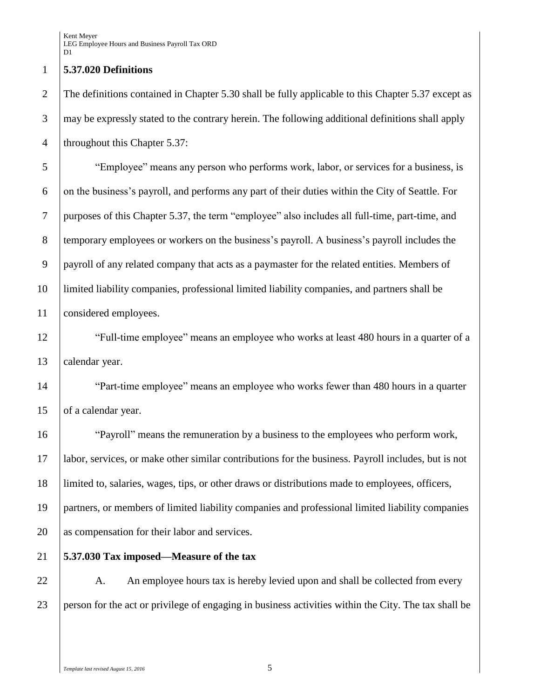#### **5.37.020 Definitions**

2 The definitions contained in Chapter 5.30 shall be fully applicable to this Chapter 5.37 except as may be expressly stated to the contrary herein. The following additional definitions shall apply 4 | throughout this Chapter 5.37:

 "Employee" means any person who performs work, labor, or services for a business, is on the business's payroll, and performs any part of their duties within the City of Seattle. For purposes of this Chapter 5.37, the term "employee" also includes all full-time, part-time, and temporary employees or workers on the business's payroll. A business's payroll includes the payroll of any related company that acts as a paymaster for the related entities. Members of limited liability companies, professional limited liability companies, and partners shall be considered employees.

12 The "Full-time employee" means an employee who works at least 480 hours in a quarter of a calendar year.

14 "<sup>Part-time</sup> employee" means an employee who works fewer than 480 hours in a quarter 15 of a calendar year.

 "Payroll" means the remuneration by a business to the employees who perform work, labor, services, or make other similar contributions for the business. Payroll includes, but is not limited to, salaries, wages, tips, or other draws or distributions made to employees, officers, partners, or members of limited liability companies and professional limited liability companies as compensation for their labor and services.

**5.37.030 Tax imposed—Measure of the tax**

22 A. An employee hours tax is hereby levied upon and shall be collected from every

person for the act or privilege of engaging in business activities within the City. The tax shall be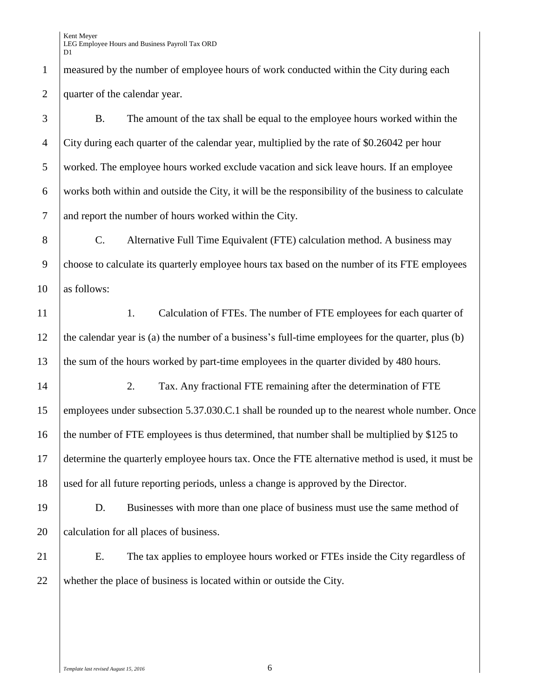Kent Meyer LEG Employee Hours and Business Payroll Tax ORD D<sub>1</sub>

1 measured by the number of employee hours of work conducted within the City during each quarter of the calendar year.

 B. The amount of the tax shall be equal to the employee hours worked within the City during each quarter of the calendar year, multiplied by the rate of \$0.26042 per hour worked. The employee hours worked exclude vacation and sick leave hours. If an employee works both within and outside the City, it will be the responsibility of the business to calculate and report the number of hours worked within the City.

 C. Alternative Full Time Equivalent (FTE) calculation method. A business may choose to calculate its quarterly employee hours tax based on the number of its FTE employees as follows:

11 1. Calculation of FTEs. The number of FTE employees for each quarter of the calendar year is (a) the number of a business's full-time employees for the quarter, plus (b) 13 the sum of the hours worked by part-time employees in the quarter divided by 480 hours.

14 2. Tax. Any fractional FTE remaining after the determination of FTE employees under subsection 5.37.030.C.1 shall be rounded up to the nearest whole number. Once 16 the number of FTE employees is thus determined, that number shall be multiplied by \$125 to determine the quarterly employee hours tax. Once the FTE alternative method is used, it must be used for all future reporting periods, unless a change is approved by the Director.

 D. Businesses with more than one place of business must use the same method of 20 calculation for all places of business.

 E. The tax applies to employee hours worked or FTEs inside the City regardless of whether the place of business is located within or outside the City.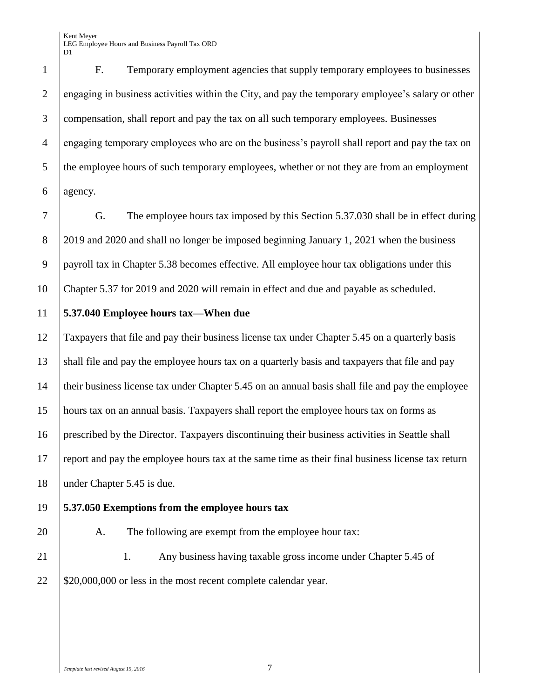F. Temporary employment agencies that supply temporary employees to businesses engaging in business activities within the City, and pay the temporary employee's salary or other compensation, shall report and pay the tax on all such temporary employees. Businesses engaging temporary employees who are on the business's payroll shall report and pay the tax on the employee hours of such temporary employees, whether or not they are from an employment agency.

 G. The employee hours tax imposed by this Section 5.37.030 shall be in effect during 2019 and 2020 and shall no longer be imposed beginning January 1, 2021 when the business 9 payroll tax in Chapter 5.38 becomes effective. All employee hour tax obligations under this Chapter 5.37 for 2019 and 2020 will remain in effect and due and payable as scheduled.

### **5.37.040 Employee hours tax—When due**

 Taxpayers that file and pay their business license tax under Chapter 5.45 on a quarterly basis shall file and pay the employee hours tax on a quarterly basis and taxpayers that file and pay their business license tax under Chapter 5.45 on an annual basis shall file and pay the employee hours tax on an annual basis. Taxpayers shall report the employee hours tax on forms as prescribed by the Director. Taxpayers discontinuing their business activities in Seattle shall report and pay the employee hours tax at the same time as their final business license tax return under Chapter 5.45 is due.

# **5.37.050 Exemptions from the employee hours tax**

20 A. The following are exempt from the employee hour tax:

21 | 1. Any business having taxable gross income under Chapter 5.45 of  $22 \mid $20,000,000$  or less in the most recent complete calendar year.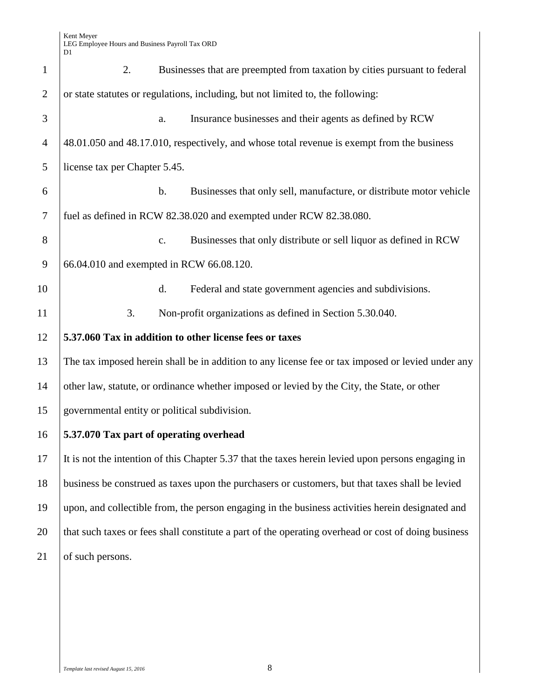| $\mathbf{1}$   | 2.                                            |                | Businesses that are preempted from taxation by cities pursuant to federal                           |
|----------------|-----------------------------------------------|----------------|-----------------------------------------------------------------------------------------------------|
| $\overline{2}$ |                                               |                | or state statutes or regulations, including, but not limited to, the following:                     |
| 3              |                                               | a.             | Insurance businesses and their agents as defined by RCW                                             |
| $\overline{4}$ |                                               |                | 48.01.050 and 48.17.010, respectively, and whose total revenue is exempt from the business          |
| 5              | license tax per Chapter 5.45.                 |                |                                                                                                     |
| 6              |                                               | $\mathbf b$ .  | Businesses that only sell, manufacture, or distribute motor vehicle                                 |
| $\overline{7}$ |                                               |                | fuel as defined in RCW 82.38.020 and exempted under RCW 82.38.080.                                  |
| 8              |                                               | $\mathbf{c}$ . | Businesses that only distribute or sell liquor as defined in RCW                                    |
| 9              | 66.04.010 and exempted in RCW 66.08.120.      |                |                                                                                                     |
| 10             |                                               | d.             | Federal and state government agencies and subdivisions.                                             |
| 11             | 3.                                            |                | Non-profit organizations as defined in Section 5.30.040.                                            |
| 12             |                                               |                | 5.37.060 Tax in addition to other license fees or taxes                                             |
| 13             |                                               |                | The tax imposed herein shall be in addition to any license fee or tax imposed or levied under any   |
| 14             |                                               |                | other law, statute, or ordinance whether imposed or levied by the City, the State, or other         |
| 15             | governmental entity or political subdivision. |                |                                                                                                     |
| 16             | 5.37.070 Tax part of operating overhead       |                |                                                                                                     |
| 17             |                                               |                | It is not the intention of this Chapter 5.37 that the taxes herein levied upon persons engaging in  |
| 18             |                                               |                | business be construed as taxes upon the purchasers or customers, but that taxes shall be levied     |
| 19             |                                               |                | upon, and collectible from, the person engaging in the business activities herein designated and    |
| 20             |                                               |                | that such taxes or fees shall constitute a part of the operating overhead or cost of doing business |
| 21             | of such persons.                              |                |                                                                                                     |
|                |                                               |                |                                                                                                     |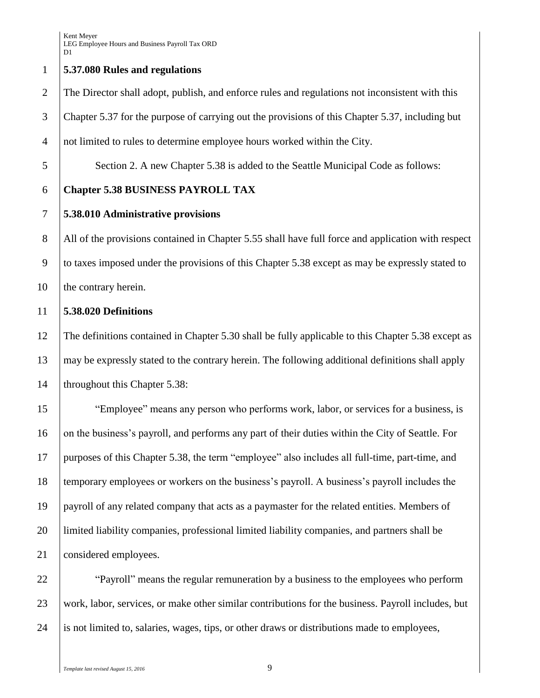# **5.37.080 Rules and regulations**

 The Director shall adopt, publish, and enforce rules and regulations not inconsistent with this Chapter 5.37 for the purpose of carrying out the provisions of this Chapter 5.37, including but not limited to rules to determine employee hours worked within the City.

Section 2. A new Chapter 5.38 is added to the Seattle Municipal Code as follows:

# **Chapter 5.38 BUSINESS PAYROLL TAX**

# **5.38.010 Administrative provisions**

8 All of the provisions contained in Chapter 5.55 shall have full force and application with respect to taxes imposed under the provisions of this Chapter 5.38 except as may be expressly stated to 10 the contrary herein.

# **5.38.020 Definitions**

 The definitions contained in Chapter 5.30 shall be fully applicable to this Chapter 5.38 except as may be expressly stated to the contrary herein. The following additional definitions shall apply 14 | throughout this Chapter 5.38:

 "Employee" means any person who performs work, labor, or services for a business, is 16 on the business's payroll, and performs any part of their duties within the City of Seattle. For purposes of this Chapter 5.38, the term "employee" also includes all full-time, part-time, and temporary employees or workers on the business's payroll. A business's payroll includes the payroll of any related company that acts as a paymaster for the related entities. Members of limited liability companies, professional limited liability companies, and partners shall be 21 considered employees.

**Payroll** "Payroll" means the regular remuneration by a business to the employees who perform work, labor, services, or make other similar contributions for the business. Payroll includes, but is not limited to, salaries, wages, tips, or other draws or distributions made to employees,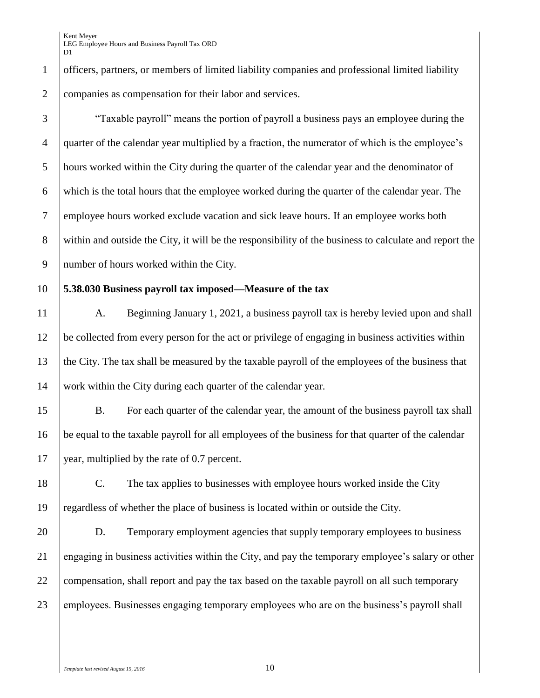Kent Meyer LEG Employee Hours and Business Payroll Tax ORD D<sub>1</sub>

 officers, partners, or members of limited liability companies and professional limited liability companies as compensation for their labor and services.

 "Taxable payroll" means the portion of payroll a business pays an employee during the quarter of the calendar year multiplied by a fraction, the numerator of which is the employee's hours worked within the City during the quarter of the calendar year and the denominator of which is the total hours that the employee worked during the quarter of the calendar year. The employee hours worked exclude vacation and sick leave hours. If an employee works both 8 within and outside the City, it will be the responsibility of the business to calculate and report the number of hours worked within the City.

#### **5.38.030 Business payroll tax imposed—Measure of the tax**

11 | A. Beginning January 1, 2021, a business payroll tax is hereby levied upon and shall be collected from every person for the act or privilege of engaging in business activities within the City. The tax shall be measured by the taxable payroll of the employees of the business that work within the City during each quarter of the calendar year.

 B. For each quarter of the calendar year, the amount of the business payroll tax shall be equal to the taxable payroll for all employees of the business for that quarter of the calendar 17 vear, multiplied by the rate of 0.7 percent.

 C. The tax applies to businesses with employee hours worked inside the City regardless of whether the place of business is located within or outside the City.

 D. Temporary employment agencies that supply temporary employees to business engaging in business activities within the City, and pay the temporary employee's salary or other 22 compensation, shall report and pay the tax based on the taxable payroll on all such temporary 23 employees. Businesses engaging temporary employees who are on the business's payroll shall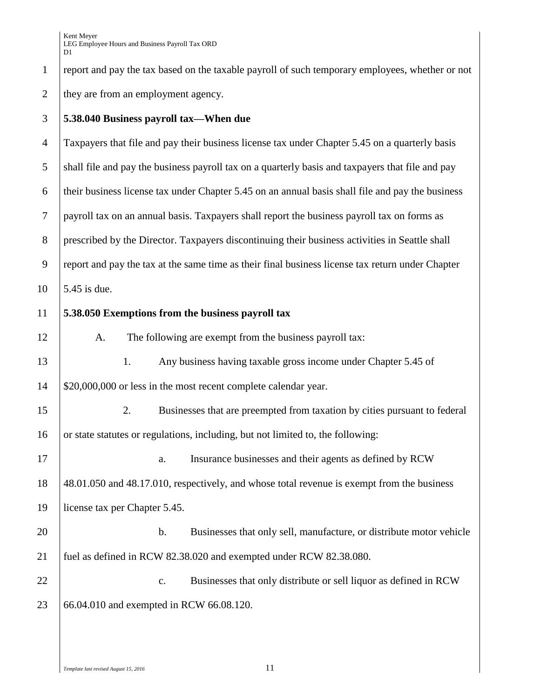Kent Meyer LEG Employee Hours and Business Payroll Tax ORD D<sub>1</sub>

1 report and pay the tax based on the taxable payroll of such temporary employees, whether or not 2 they are from an employment agency.

### 3 **5.38.040 Business payroll tax—When due**

4 Taxpayers that file and pay their business license tax under Chapter 5.45 on a quarterly basis 5 shall file and pay the business payroll tax on a quarterly basis and taxpayers that file and pay 6 their business license tax under Chapter 5.45 on an annual basis shall file and pay the business 7 payroll tax on an annual basis. Taxpayers shall report the business payroll tax on forms as 8 prescribed by the Director. Taxpayers discontinuing their business activities in Seattle shall 9 report and pay the tax at the same time as their final business license tax return under Chapter  $10 \, \text{J}$  5.45 is due.

### 11 **5.38.050 Exemptions from the business payroll tax**

12 A. The following are exempt from the business payroll tax: 1. Any business having taxable gross income under Chapter 5.45 of \$20,000,000 or less in the most recent complete calendar year. 2. Businesses that are preempted from taxation by cities pursuant to federal 16 or state statutes or regulations, including, but not limited to, the following: 17 a. Insurance businesses and their agents as defined by RCW 48.01.050 and 48.17.010, respectively, and whose total revenue is exempt from the business license tax per Chapter 5.45. **b.** Businesses that only sell, manufacture, or distribute motor vehicle fuel as defined in RCW 82.38.020 and exempted under RCW 82.38.080.

22 **c.** Businesses that only distribute or sell liquor as defined in RCW 23 66.04.010 and exempted in RCW 66.08.120.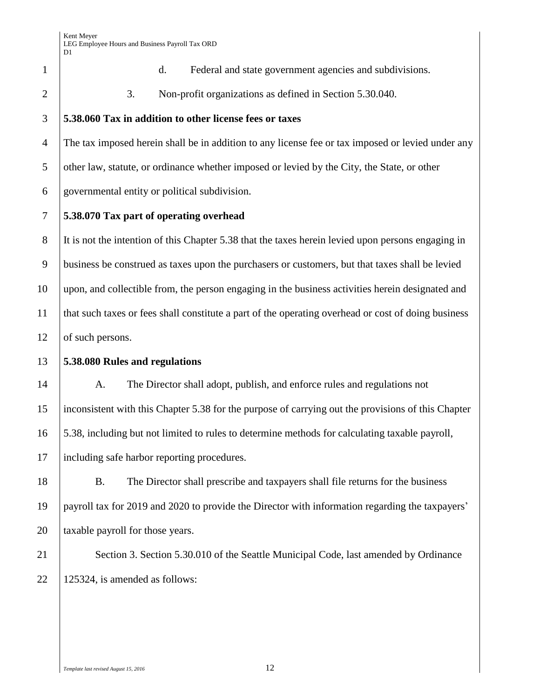d. Federal and state government agencies and subdivisions.

2 3. Non-profit organizations as defined in Section 5.30.040.

# **5.38.060 Tax in addition to other license fees or taxes**

 The tax imposed herein shall be in addition to any license fee or tax imposed or levied under any 5 | other law, statute, or ordinance whether imposed or levied by the City, the State, or other governmental entity or political subdivision.

# **5.38.070 Tax part of operating overhead**

 It is not the intention of this Chapter 5.38 that the taxes herein levied upon persons engaging in business be construed as taxes upon the purchasers or customers, but that taxes shall be levied upon, and collectible from, the person engaging in the business activities herein designated and that such taxes or fees shall constitute a part of the operating overhead or cost of doing business 12 of such persons.

# **5.38.080 Rules and regulations**

14 A. The Director shall adopt, publish, and enforce rules and regulations not inconsistent with this Chapter 5.38 for the purpose of carrying out the provisions of this Chapter 5.38, including but not limited to rules to determine methods for calculating taxable payroll, including safe harbor reporting procedures.

 B. The Director shall prescribe and taxpayers shall file returns for the business payroll tax for 2019 and 2020 to provide the Director with information regarding the taxpayers' **taxable payroll for those years.** 

21 | Section 3. Section 5.30.010 of the Seattle Municipal Code, last amended by Ordinance 22 | 125324, is amended as follows: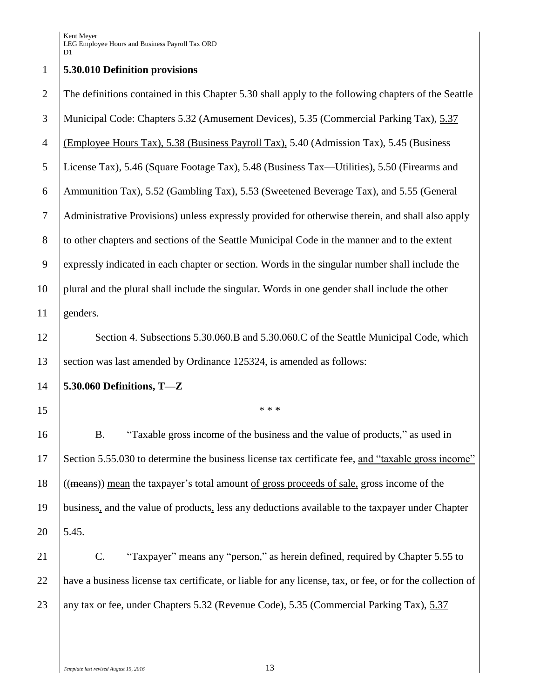### **5.30.010 Definition provisions**

 The definitions contained in this Chapter 5.30 shall apply to the following chapters of the Seattle Municipal Code: Chapters 5.32 (Amusement Devices), 5.35 (Commercial Parking Tax), 5.37 (Employee Hours Tax), 5.38 (Business Payroll Tax), 5.40 (Admission Tax), 5.45 (Business License Tax), 5.46 (Square Footage Tax), 5.48 (Business Tax—Utilities), 5.50 (Firearms and Ammunition Tax), 5.52 (Gambling Tax), 5.53 (Sweetened Beverage Tax), and 5.55 (General Administrative Provisions) unless expressly provided for otherwise therein, and shall also apply to other chapters and sections of the Seattle Municipal Code in the manner and to the extent expressly indicated in each chapter or section. Words in the singular number shall include the plural and the plural shall include the singular. Words in one gender shall include the other genders. 12 Section 4. Subsections 5.30.060.B and 5.30.060.C of the Seattle Municipal Code, which section was last amended by Ordinance 125324, is amended as follows: **5.30.060 Definitions, T—Z** \*\*\* B. "Taxable gross income of the business and the value of products," as used in Section 5.55.030 to determine the business license tax certificate fee, and "taxable gross income" ((means)) mean the taxpayer's total amount of gross proceeds of sale, gross income of the business, and the value of products, less any deductions available to the taxpayer under Chapter 5.45. C. "Taxpayer" means any "person," as herein defined, required by Chapter 5.55 to have a business license tax certificate, or liable for any license, tax, or fee, or for the collection of

23 any tax or fee, under Chapters 5.32 (Revenue Code), 5.35 (Commercial Parking Tax), 5.37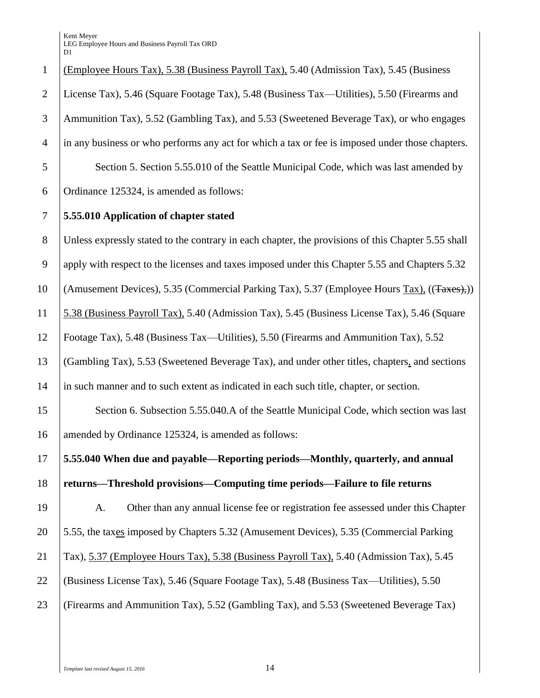| $\mathbf{1}$   | (Employee Hours Tax), 5.38 (Business Payroll Tax), 5.40 (Admission Tax), 5.45 (Business            |
|----------------|----------------------------------------------------------------------------------------------------|
| $\overline{2}$ | License Tax), 5.46 (Square Footage Tax), 5.48 (Business Tax—Utilities), 5.50 (Firearms and         |
| 3              | Ammunition Tax), 5.52 (Gambling Tax), and 5.53 (Sweetened Beverage Tax), or who engages            |
| $\overline{4}$ | in any business or who performs any act for which a tax or fee is imposed under those chapters.    |
| 5              | Section 5. Section 5.55.010 of the Seattle Municipal Code, which was last amended by               |
| 6              | Ordinance 125324, is amended as follows:                                                           |
| $\tau$         | 5.55.010 Application of chapter stated                                                             |
| $8\,$          | Unless expressly stated to the contrary in each chapter, the provisions of this Chapter 5.55 shall |
| 9              | apply with respect to the licenses and taxes imposed under this Chapter 5.55 and Chapters 5.32     |
| 10             | (Amusement Devices), 5.35 (Commercial Parking Tax), 5.37 (Employee Hours Tax), ((Taxes),))         |
| 11             | 5.38 (Business Payroll Tax), 5.40 (Admission Tax), 5.45 (Business License Tax), 5.46 (Square       |
| 12             | Footage Tax), 5.48 (Business Tax—Utilities), 5.50 (Firearms and Ammunition Tax), 5.52              |
| 13             | (Gambling Tax), 5.53 (Sweetened Beverage Tax), and under other titles, chapters, and sections      |
| 14             | in such manner and to such extent as indicated in each such title, chapter, or section.            |
| 15             | Section 6. Subsection 5.55.040.A of the Seattle Municipal Code, which section was last             |
| 16             | amended by Ordinance 125324, is amended as follows:                                                |
| 17             | 5.55.040 When due and payable—Reporting periods—Monthly, quarterly, and annual                     |
| 18             | returns—Threshold provisions—Computing time periods—Failure to file returns                        |
| 19             | Other than any annual license fee or registration fee assessed under this Chapter<br>A.            |
| 20             | 5.55, the taxes imposed by Chapters 5.32 (Amusement Devices), 5.35 (Commercial Parking             |
| 21             | Tax), 5.37 (Employee Hours Tax), 5.38 (Business Payroll Tax), 5.40 (Admission Tax), 5.45           |
| 22             | (Business License Tax), 5.46 (Square Footage Tax), 5.48 (Business Tax—Utilities), 5.50             |
| 23             | (Firearms and Ammunition Tax), 5.52 (Gambling Tax), and 5.53 (Sweetened Beverage Tax)              |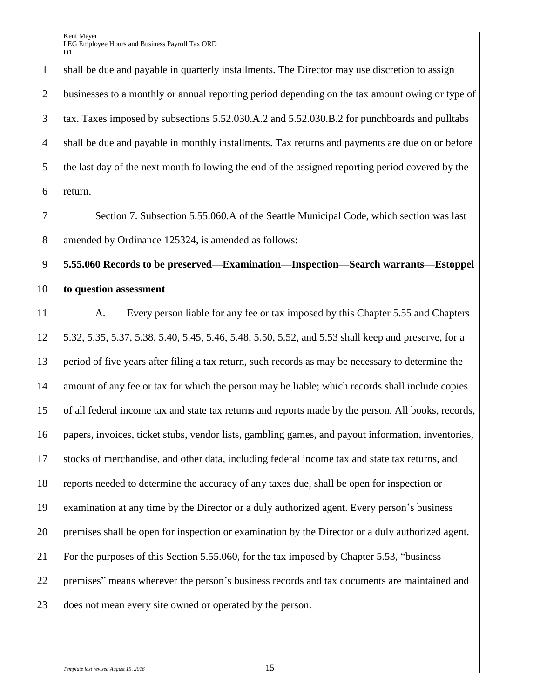1 shall be due and payable in quarterly installments. The Director may use discretion to assign businesses to a monthly or annual reporting period depending on the tax amount owing or type of tax. Taxes imposed by subsections 5.52.030.A.2 and 5.52.030.B.2 for punchboards and pulltabs shall be due and payable in monthly installments. Tax returns and payments are due on or before 5 the last day of the next month following the end of the assigned reporting period covered by the return.

7 Section 7. Subsection 5.55.060. A of the Seattle Municipal Code, which section was last 8 amended by Ordinance 125324, is amended as follows:

# **5.55.060 Records to be preserved—Examination—Inspection—Search warrants—Estoppel to question assessment**

11 A. Every person liable for any fee or tax imposed by this Chapter 5.55 and Chapters 5.32, 5.35, 5.37, 5.38, 5.40, 5.45, 5.46, 5.48, 5.50, 5.52, and 5.53 shall keep and preserve, for a period of five years after filing a tax return, such records as may be necessary to determine the 14 amount of any fee or tax for which the person may be liable; which records shall include copies of all federal income tax and state tax returns and reports made by the person. All books, records, papers, invoices, ticket stubs, vendor lists, gambling games, and payout information, inventories, stocks of merchandise, and other data, including federal income tax and state tax returns, and reports needed to determine the accuracy of any taxes due, shall be open for inspection or examination at any time by the Director or a duly authorized agent. Every person's business premises shall be open for inspection or examination by the Director or a duly authorized agent. For the purposes of this Section 5.55.060, for the tax imposed by Chapter 5.53, "business premises" means wherever the person's business records and tax documents are maintained and does not mean every site owned or operated by the person.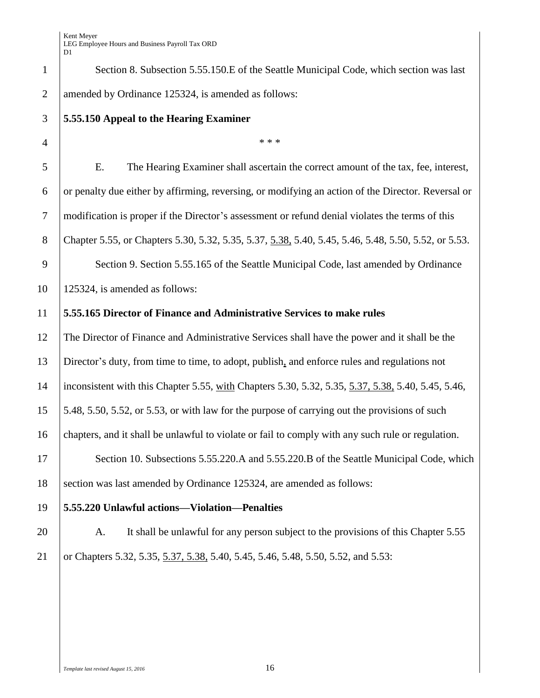| $\mathbf{1}$   | Section 8. Subsection 5.55.150.E of the Seattle Municipal Code, which section was last               |
|----------------|------------------------------------------------------------------------------------------------------|
| $\overline{2}$ | amended by Ordinance 125324, is amended as follows:                                                  |
| 3              | 5.55.150 Appeal to the Hearing Examiner                                                              |
| $\overline{4}$ | * * *                                                                                                |
| 5              | The Hearing Examiner shall ascertain the correct amount of the tax, fee, interest,<br>E.             |
| 6              | or penalty due either by affirming, reversing, or modifying an action of the Director. Reversal or   |
| $\overline{7}$ | modification is proper if the Director's assessment or refund denial violates the terms of this      |
| 8              | Chapter 5.55, or Chapters 5.30, 5.32, 5.35, 5.37, 5.38, 5.40, 5.45, 5.46, 5.48, 5.50, 5.52, or 5.53. |
| 9              | Section 9. Section 5.55.165 of the Seattle Municipal Code, last amended by Ordinance                 |
| 10             | 125324, is amended as follows:                                                                       |
| 11             | 5.55.165 Director of Finance and Administrative Services to make rules                               |
| 12             | The Director of Finance and Administrative Services shall have the power and it shall be the         |
| 13             | Director's duty, from time to time, to adopt, publish, and enforce rules and regulations not         |
| 14             | inconsistent with this Chapter 5.55, with Chapters 5.30, 5.32, 5.35, 5.37, 5.38, 5.40, 5.45, 5.46,   |
| 15             | 5.48, 5.50, 5.52, or 5.53, or with law for the purpose of carrying out the provisions of such        |
| 16             | chapters, and it shall be unlawful to violate or fail to comply with any such rule or regulation.    |
| 17             | Section 10. Subsections 5.55.220.A and 5.55.220.B of the Seattle Municipal Code, which               |
| 18             | section was last amended by Ordinance 125324, are amended as follows:                                |
| 19             | 5.55.220 Unlawful actions-Violation-Penalties                                                        |
| 20             | It shall be unlawful for any person subject to the provisions of this Chapter 5.55<br>A.             |
| 21             | or Chapters 5.32, 5.35, 5.37, 5.38, 5.40, 5.45, 5.46, 5.48, 5.50, 5.52, and 5.53:                    |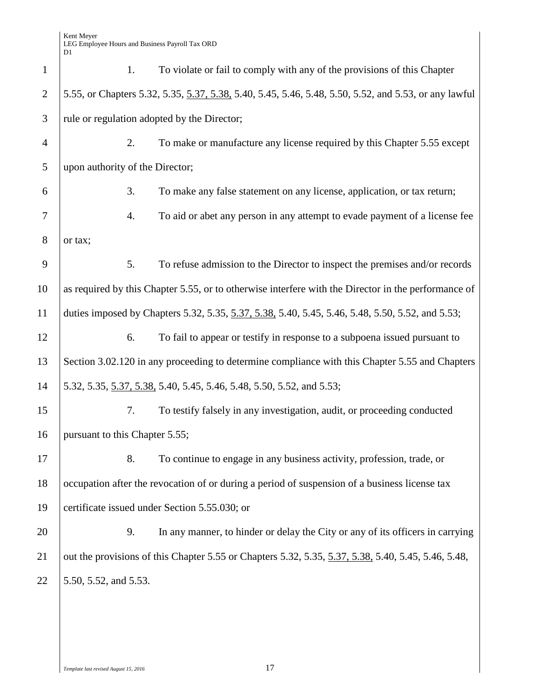| $\mathbf{1}$   | 1.                              | To violate or fail to comply with any of the provisions of this Chapter                               |
|----------------|---------------------------------|-------------------------------------------------------------------------------------------------------|
| $\overline{2}$ |                                 | 5.55, or Chapters 5.32, 5.35, 5.37, 5.38, 5.40, 5.45, 5.46, 5.48, 5.50, 5.52, and 5.53, or any lawful |
| 3              |                                 | rule or regulation adopted by the Director;                                                           |
| $\overline{4}$ | 2.                              | To make or manufacture any license required by this Chapter 5.55 except                               |
| 5              | upon authority of the Director; |                                                                                                       |
| 6              | 3.                              | To make any false statement on any license, application, or tax return;                               |
| 7              | 4.                              | To aid or abet any person in any attempt to evade payment of a license fee                            |
| 8              | or tax;                         |                                                                                                       |
| 9              | 5.                              | To refuse admission to the Director to inspect the premises and/or records                            |
| 10             |                                 | as required by this Chapter 5.55, or to otherwise interfere with the Director in the performance of   |
| 11             |                                 | duties imposed by Chapters 5.32, 5.35, 5.37, 5.38, 5.40, 5.45, 5.46, 5.48, 5.50, 5.52, and 5.53;      |
| 12             | 6.                              | To fail to appear or testify in response to a subpoena issued pursuant to                             |
| 13             |                                 | Section 3.02.120 in any proceeding to determine compliance with this Chapter 5.55 and Chapters        |
| 14             |                                 | 5.32, 5.35, 5.37, 5.38, 5.40, 5.45, 5.46, 5.48, 5.50, 5.52, and 5.53;                                 |
| 15             | 7.                              | To testify falsely in any investigation, audit, or proceeding conducted                               |
| 16             | pursuant to this Chapter 5.55;  |                                                                                                       |
| 17             | 8.                              | To continue to engage in any business activity, profession, trade, or                                 |
| 18             |                                 | occupation after the revocation of or during a period of suspension of a business license tax         |
| 19             |                                 | certificate issued under Section 5.55.030; or                                                         |
| 20             | 9.                              | In any manner, to hinder or delay the City or any of its officers in carrying                         |
| 21             |                                 | out the provisions of this Chapter 5.55 or Chapters 5.32, 5.35, 5.37, 5.38, 5.40, 5.45, 5.46, 5.48,   |
| 22             | 5.50, 5.52, and 5.53.           |                                                                                                       |
|                |                                 |                                                                                                       |
|                |                                 |                                                                                                       |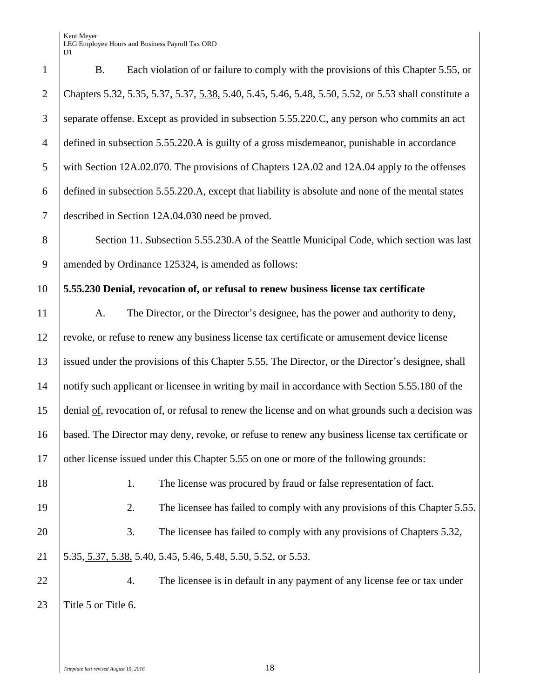Kent Meyer LEG Employee Hours and Business Payroll Tax ORD

|                  | LLO Linproyee Hours and Dusiness I ayron Tax O<br>D1                                                  |
|------------------|-------------------------------------------------------------------------------------------------------|
| $\mathbf{1}$     | Each violation of or failure to comply with the provisions of this Chapter 5.55, or<br><b>B.</b>      |
| $\sqrt{2}$       | Chapters 5.32, 5.35, 5.37, 5.37, 5.38, 5.40, 5.45, 5.46, 5.48, 5.50, 5.52, or 5.53 shall constitute a |
| 3                | separate offense. Except as provided in subsection 5.55.220.C, any person who commits an act          |
| $\overline{4}$   | defined in subsection 5.55.220.A is guilty of a gross misdemeanor, punishable in accordance           |
| $\mathfrak{S}$   | with Section 12A.02.070. The provisions of Chapters 12A.02 and 12A.04 apply to the offenses           |
| $\boldsymbol{6}$ | defined in subsection 5.55.220.A, except that liability is absolute and none of the mental states     |
| $\tau$           | described in Section 12A.04.030 need be proved.                                                       |
| $8\,$            | Section 11. Subsection 5.55.230.A of the Seattle Municipal Code, which section was last               |
| 9                | amended by Ordinance 125324, is amended as follows:                                                   |
| 10               | 5.55.230 Denial, revocation of, or refusal to renew business license tax certificate                  |
| 11               | The Director, or the Director's designee, has the power and authority to deny,<br>A.                  |
| 12               | revoke, or refuse to renew any business license tax certificate or amusement device license           |
| 13               | issued under the provisions of this Chapter 5.55. The Director, or the Director's designee, shall     |
| 14               | notify such applicant or licensee in writing by mail in accordance with Section 5.55.180 of the       |
| 15               | denial of, revocation of, or refusal to renew the license and on what grounds such a decision was     |
| 16               | based. The Director may deny, revoke, or refuse to renew any business license tax certificate or      |
| 17               | other license issued under this Chapter 5.55 on one or more of the following grounds:                 |
| 18               | 1.<br>The license was procured by fraud or false representation of fact.                              |
| 19               | The licensee has failed to comply with any provisions of this Chapter 5.55.<br>2.                     |
| 20               | 3.<br>The licensee has failed to comply with any provisions of Chapters 5.32,                         |
| 21               | 5.35, 5.37, 5.38, 5.40, 5.45, 5.46, 5.48, 5.50, 5.52, or 5.53.                                        |
| 22               | The licensee is in default in any payment of any license fee or tax under<br>4.                       |
| 23               | Title 5 or Title 6.                                                                                   |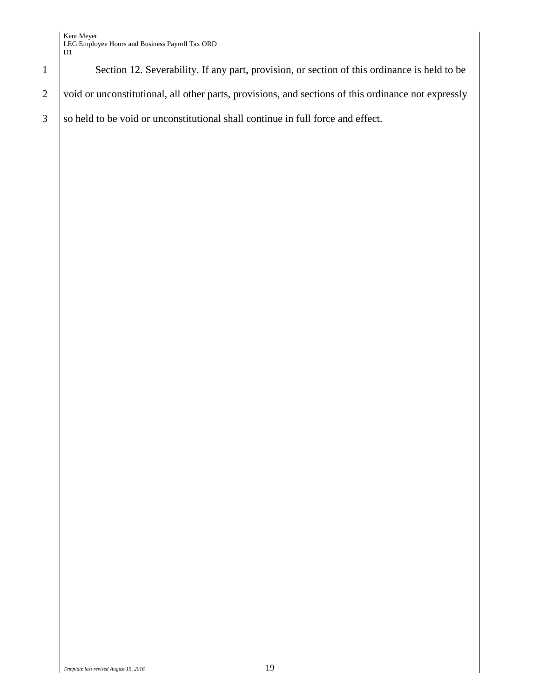

1 Section 12. Severability. If any part, provision, or section of this ordinance is held to be

2 void or unconstitutional, all other parts, provisions, and sections of this ordinance not expressly

 $3$  so held to be void or unconstitutional shall continue in full force and effect.